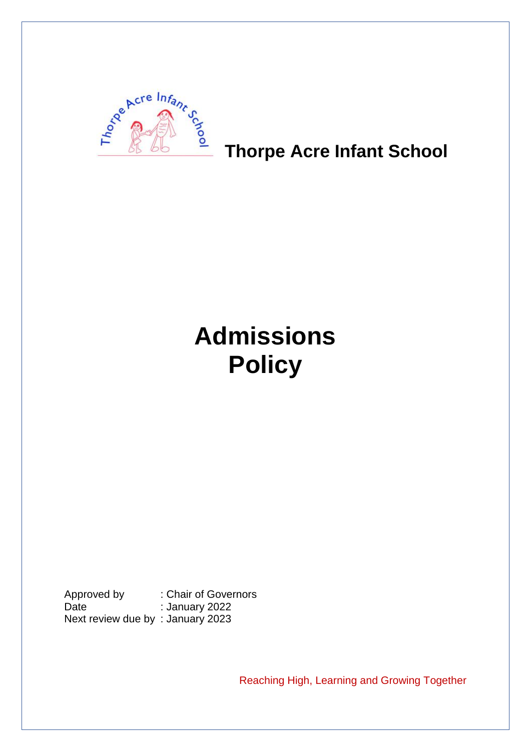

## **Thorpe Acre Infant School**

# **Admissions Policy**

Approved by : Chair of Governors Date : January 2022 Next review due by : January 2023

Reaching High, Learning and Growing Together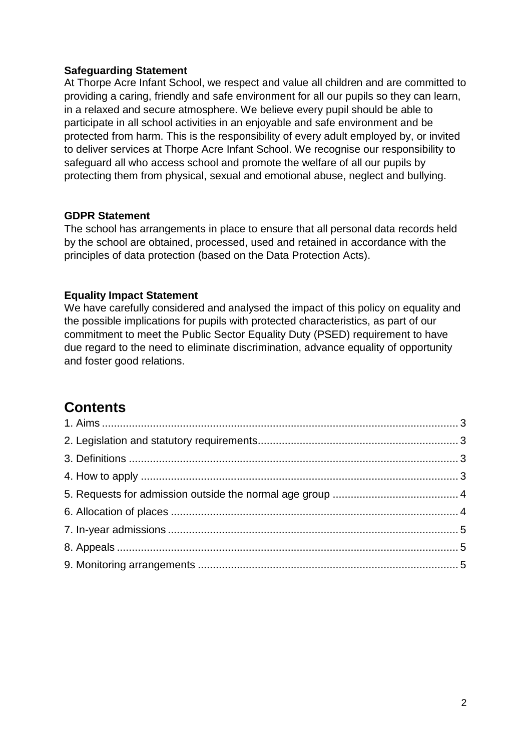#### **Safeguarding Statement**

At Thorpe Acre Infant School, we respect and value all children and are committed to providing a caring, friendly and safe environment for all our pupils so they can learn, in a relaxed and secure atmosphere. We believe every pupil should be able to participate in all school activities in an enjoyable and safe environment and be protected from harm. This is the responsibility of every adult employed by, or invited to deliver services at Thorpe Acre Infant School. We recognise our responsibility to safeguard all who access school and promote the welfare of all our pupils by protecting them from physical, sexual and emotional abuse, neglect and bullying.

#### **GDPR Statement**

The school has arrangements in place to ensure that all personal data records held by the school are obtained, processed, used and retained in accordance with the principles of data protection (based on the Data Protection Acts).

#### **Equality Impact Statement**

We have carefully considered and analysed the impact of this policy on equality and the possible implications for pupils with protected characteristics, as part of our commitment to meet the Public Sector Equality Duty (PSED) requirement to have due regard to the need to eliminate discrimination, advance equality of opportunity and foster good relations.

### **Contents**

<span id="page-1-0"></span>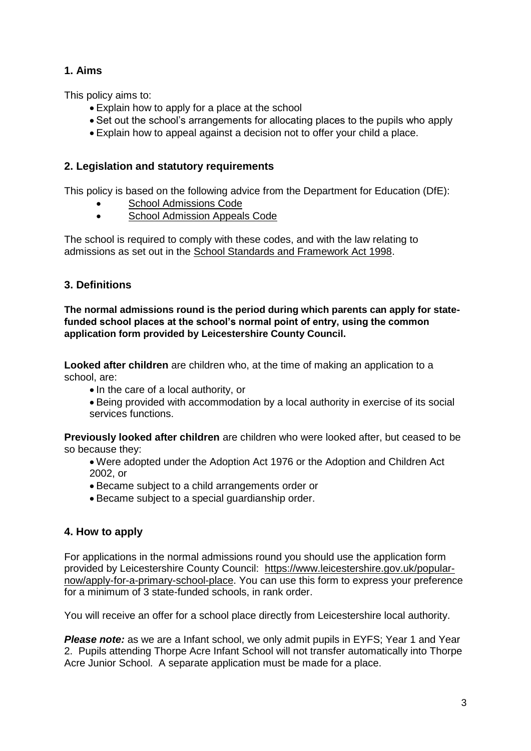#### **1. Aims**

This policy aims to:

- Explain how to apply for a place at the school
- Set out the school's arrangements for allocating places to the pupils who apply
- Explain how to appeal against a decision not to offer your child a place.

#### <span id="page-2-0"></span>**2. Legislation and statutory requirements**

This policy is based on the following advice from the Department for Education (DfE):

- [School Admissions Code](https://www.gov.uk/government/publications/school-admissions-code--2)
- [School Admission Appeals Code](https://www.gov.uk/government/publications/school-admissions-appeals-code)

The school is required to comply with these codes, and with the law relating to admissions as set out in the [School Standards and Framework Act 1998.](http://www.legislation.gov.uk/ukpga/1998/31/contents)

#### <span id="page-2-1"></span>**3. Definitions**

**The normal admissions round is the period during which parents can apply for statefunded school places at the school's normal point of entry, using the common application form provided by Leicestershire County Council.** 

**Looked after children** are children who, at the time of making an application to a school, are:

- In the care of a local authority, or
- Being provided with accommodation by a local authority in exercise of its social services functions.

**Previously looked after children** are children who were looked after, but ceased to be so because they:

- Were adopted under the Adoption Act 1976 or the Adoption and Children Act 2002, or
- Became subject to a child arrangements order or
- Became subject to a special guardianship order.

#### <span id="page-2-2"></span>**4. How to apply**

For applications in the normal admissions round you should use the application form provided by Leicestershire County Council: [https://www.leicestershire.gov.uk/popular](https://www.leicestershire.gov.uk/popular-now/apply-for-a-primary-school-place)[now/apply-for-a-primary-school-place.](https://www.leicestershire.gov.uk/popular-now/apply-for-a-primary-school-place) You can use this form to express your preference for a minimum of 3 state-funded schools, in rank order.

You will receive an offer for a school place directly from Leicestershire local authority.

*Please note:* as we are a Infant school, we only admit pupils in EYFS; Year 1 and Year 2. Pupils attending Thorpe Acre Infant School will not transfer automatically into Thorpe Acre Junior School. A separate application must be made for a place.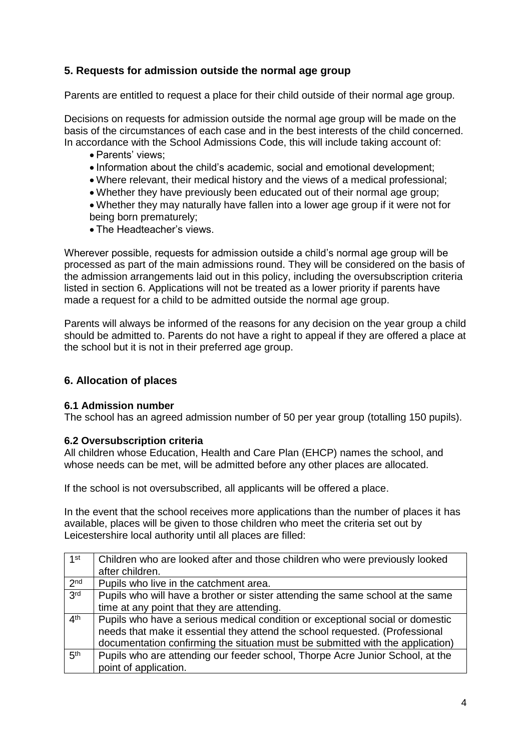#### <span id="page-3-0"></span>**5. Requests for admission outside the normal age group**

Parents are entitled to request a place for their child outside of their normal age group.

Decisions on requests for admission outside the normal age group will be made on the basis of the circumstances of each case and in the best interests of the child concerned. In accordance with the School Admissions Code, this will include taking account of:

- Parents' views;
- Information about the child's academic, social and emotional development;
- Where relevant, their medical history and the views of a medical professional;
- Whether they have previously been educated out of their normal age group;
- Whether they may naturally have fallen into a lower age group if it were not for being born prematurely;
- The Headteacher's views.

Wherever possible, requests for admission outside a child's normal age group will be processed as part of the main admissions round. They will be considered on the basis of the admission arrangements laid out in this policy, including the oversubscription criteria listed in section 6. Applications will not be treated as a lower priority if parents have made a request for a child to be admitted outside the normal age group.

Parents will always be informed of the reasons for any decision on the year group a child should be admitted to. Parents do not have a right to appeal if they are offered a place at the school but it is not in their preferred age group.

#### <span id="page-3-1"></span>**6. Allocation of places**

#### **6.1 Admission number**

The school has an agreed admission number of 50 per year group (totalling 150 pupils).

#### **6.2 Oversubscription criteria**

All children whose Education, Health and Care Plan (EHCP) names the school, and whose needs can be met, will be admitted before any other places are allocated.

If the school is not oversubscribed, all applicants will be offered a place.

In the event that the school receives more applications than the number of places it has available, places will be given to those children who meet the criteria set out by Leicestershire local authority until all places are filled:

| 1st             | Children who are looked after and those children who were previously looked    |
|-----------------|--------------------------------------------------------------------------------|
|                 | after children.                                                                |
| 2 <sub>nd</sub> | Pupils who live in the catchment area.                                         |
| 3rd             | Pupils who will have a brother or sister attending the same school at the same |
|                 | time at any point that they are attending.                                     |
| 4 <sup>th</sup> | Pupils who have a serious medical condition or exceptional social or domestic  |
|                 | needs that make it essential they attend the school requested. (Professional   |
|                 | documentation confirming the situation must be submitted with the application) |
| 5 <sup>th</sup> | Pupils who are attending our feeder school, Thorpe Acre Junior School, at the  |
|                 | point of application.                                                          |